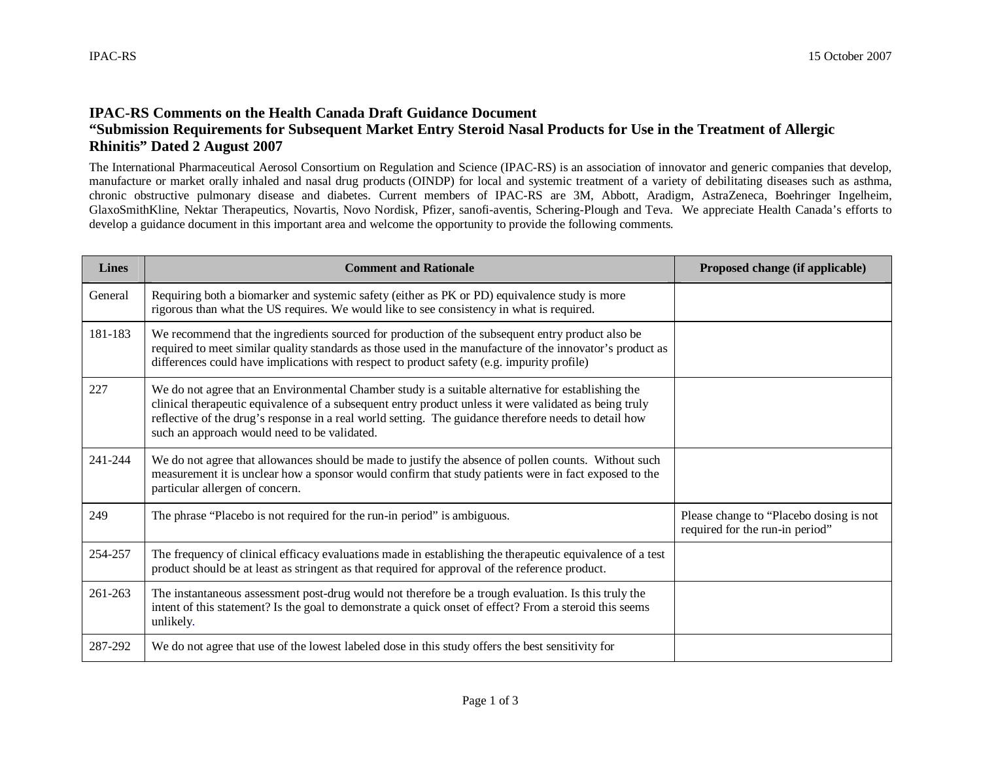## **IPAC-RS Comments on the Health Canada Draft Guidance Document "Submission Requirements for Subsequent Market Entry Steroid Nasal Products for Use in the Treatment of Allergic Rhinitis" Dated 2 August 2007**

The International Pharmaceutical Aerosol Consortium on Regulation and Science (IPAC-RS) is an association of innovator and generic companies that develop, manufacture or market orally inhaled and nasal drug products (OINDP) for local and systemic treatment of a variety of debilitating diseases such as asthma, chronic obstructive pulmonary disease and diabetes. Current members of IPAC-RS are 3M, Abbott, Aradigm, AstraZeneca, Boehringer Ingelheim, GlaxoSmithKline, Nektar Therapeutics, Novartis, Novo Nordisk, Pfizer, sanofi-aventis, Schering-Plough and Teva. We appreciate Health Canada's efforts to develop a guidance document in this important area and welcome the opportunity to provide the following comments.

| <b>Lines</b> | <b>Comment and Rationale</b>                                                                                                                                                                                                                                                                                                                                          | Proposed change (if applicable)                                            |
|--------------|-----------------------------------------------------------------------------------------------------------------------------------------------------------------------------------------------------------------------------------------------------------------------------------------------------------------------------------------------------------------------|----------------------------------------------------------------------------|
| General      | Requiring both a biomarker and systemic safety (either as PK or PD) equivalence study is more<br>rigorous than what the US requires. We would like to see consistency in what is required.                                                                                                                                                                            |                                                                            |
| 181-183      | We recommend that the ingredients sourced for production of the subsequent entry product also be<br>required to meet similar quality standards as those used in the manufacture of the innovator's product as<br>differences could have implications with respect to product safety (e.g. impurity profile)                                                           |                                                                            |
| 227          | We do not agree that an Environmental Chamber study is a suitable alternative for establishing the<br>clinical therapeutic equivalence of a subsequent entry product unless it were validated as being truly<br>reflective of the drug's response in a real world setting. The guidance therefore needs to detail how<br>such an approach would need to be validated. |                                                                            |
| 241-244      | We do not agree that allowances should be made to justify the absence of pollen counts. Without such<br>measurement it is unclear how a sponsor would confirm that study patients were in fact exposed to the<br>particular allergen of concern.                                                                                                                      |                                                                            |
| 249          | The phrase "Placebo is not required for the run-in period" is ambiguous.                                                                                                                                                                                                                                                                                              | Please change to "Placebo dosing is not<br>required for the run-in period" |
| 254-257      | The frequency of clinical efficacy evaluations made in establishing the therapeutic equivalence of a test<br>product should be at least as stringent as that required for approval of the reference product.                                                                                                                                                          |                                                                            |
| 261-263      | The instantaneous assessment post-drug would not therefore be a trough evaluation. Is this truly the<br>intent of this statement? Is the goal to demonstrate a quick onset of effect? From a steroid this seems<br>unlikely.                                                                                                                                          |                                                                            |
| 287-292      | We do not agree that use of the lowest labeled dose in this study offers the best sensitivity for                                                                                                                                                                                                                                                                     |                                                                            |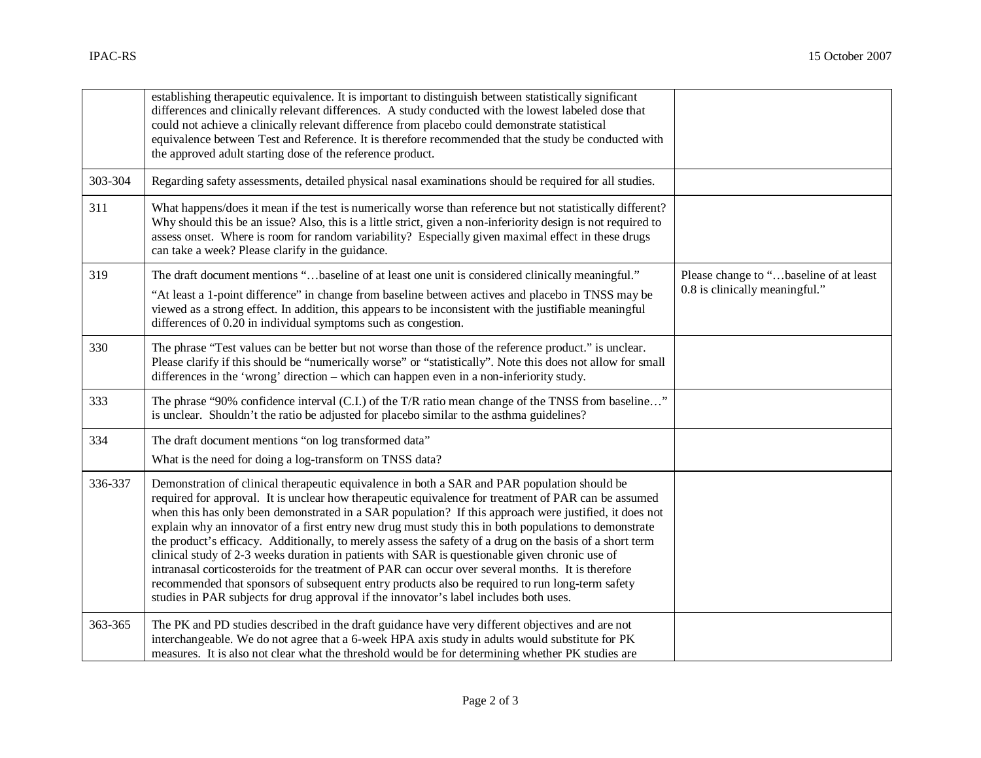|         | establishing therapeutic equivalence. It is important to distinguish between statistically significant<br>differences and clinically relevant differences. A study conducted with the lowest labeled dose that<br>could not achieve a clinically relevant difference from placebo could demonstrate statistical<br>equivalence between Test and Reference. It is therefore recommended that the study be conducted with<br>the approved adult starting dose of the reference product.                                                                                                                                                                                                                                                                                                                                                                                                                                                    |                                                                          |
|---------|------------------------------------------------------------------------------------------------------------------------------------------------------------------------------------------------------------------------------------------------------------------------------------------------------------------------------------------------------------------------------------------------------------------------------------------------------------------------------------------------------------------------------------------------------------------------------------------------------------------------------------------------------------------------------------------------------------------------------------------------------------------------------------------------------------------------------------------------------------------------------------------------------------------------------------------|--------------------------------------------------------------------------|
| 303-304 | Regarding safety assessments, detailed physical nasal examinations should be required for all studies.                                                                                                                                                                                                                                                                                                                                                                                                                                                                                                                                                                                                                                                                                                                                                                                                                                   |                                                                          |
| 311     | What happens/does it mean if the test is numerically worse than reference but not statistically different?<br>Why should this be an issue? Also, this is a little strict, given a non-inferiority design is not required to<br>assess onset. Where is room for random variability? Especially given maximal effect in these drugs<br>can take a week? Please clarify in the guidance.                                                                                                                                                                                                                                                                                                                                                                                                                                                                                                                                                    |                                                                          |
| 319     | The draft document mentions "baseline of at least one unit is considered clinically meaningful."<br>"At least a 1-point difference" in change from baseline between actives and placebo in TNSS may be<br>viewed as a strong effect. In addition, this appears to be inconsistent with the justifiable meaningful<br>differences of 0.20 in individual symptoms such as congestion.                                                                                                                                                                                                                                                                                                                                                                                                                                                                                                                                                      | Please change to "baseline of at least<br>0.8 is clinically meaningful." |
| 330     | The phrase "Test values can be better but not worse than those of the reference product." is unclear.<br>Please clarify if this should be "numerically worse" or "statistically". Note this does not allow for small<br>differences in the 'wrong' direction – which can happen even in a non-inferiority study.                                                                                                                                                                                                                                                                                                                                                                                                                                                                                                                                                                                                                         |                                                                          |
| 333     | The phrase "90% confidence interval (C.I.) of the T/R ratio mean change of the TNSS from baseline"<br>is unclear. Shouldn't the ratio be adjusted for placebo similar to the asthma guidelines?                                                                                                                                                                                                                                                                                                                                                                                                                                                                                                                                                                                                                                                                                                                                          |                                                                          |
| 334     | The draft document mentions "on log transformed data"<br>What is the need for doing a log-transform on TNSS data?                                                                                                                                                                                                                                                                                                                                                                                                                                                                                                                                                                                                                                                                                                                                                                                                                        |                                                                          |
| 336-337 | Demonstration of clinical therapeutic equivalence in both a SAR and PAR population should be<br>required for approval. It is unclear how therapeutic equivalence for treatment of PAR can be assumed<br>when this has only been demonstrated in a SAR population? If this approach were justified, it does not<br>explain why an innovator of a first entry new drug must study this in both populations to demonstrate<br>the product's efficacy. Additionally, to merely assess the safety of a drug on the basis of a short term<br>clinical study of 2-3 weeks duration in patients with SAR is questionable given chronic use of<br>intranasal corticosteroids for the treatment of PAR can occur over several months. It is therefore<br>recommended that sponsors of subsequent entry products also be required to run long-term safety<br>studies in PAR subjects for drug approval if the innovator's label includes both uses. |                                                                          |
| 363-365 | The PK and PD studies described in the draft guidance have very different objectives and are not<br>interchangeable. We do not agree that a 6-week HPA axis study in adults would substitute for PK<br>measures. It is also not clear what the threshold would be for determining whether PK studies are                                                                                                                                                                                                                                                                                                                                                                                                                                                                                                                                                                                                                                 |                                                                          |